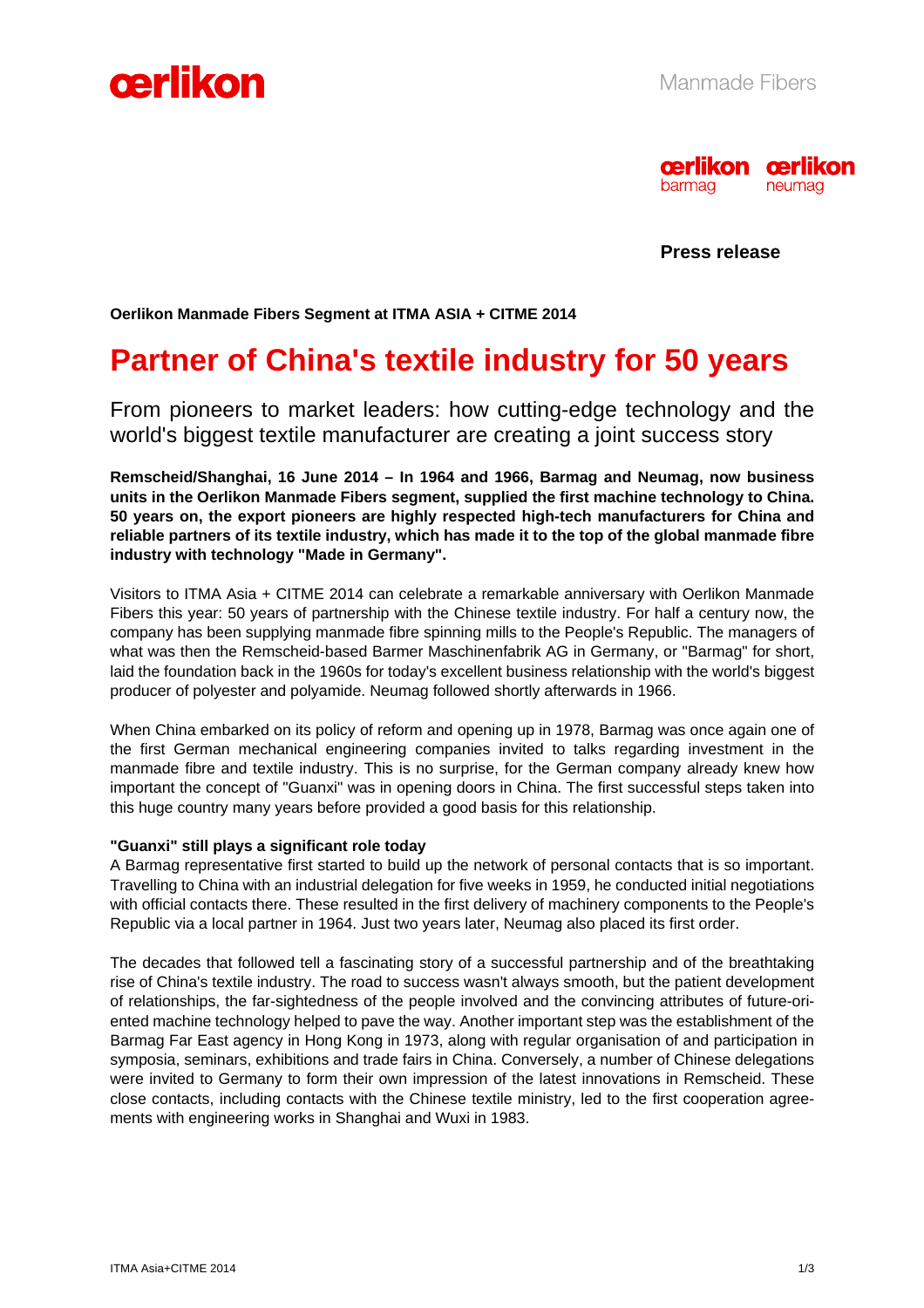



**Press release** 

**Oerlikon Manmade Fibers Segment at ITMA ASIA + CITME 2014** 

# **Partner of China's textile industry for 50 years**

From pioneers to market leaders: how cutting-edge technology and the world's biggest textile manufacturer are creating a joint success story

**Remscheid/Shanghai, 16 June 2014 – In 1964 and 1966, Barmag and Neumag, now business units in the Oerlikon Manmade Fibers segment, supplied the first machine technology to China. 50 years on, the export pioneers are highly respected high-tech manufacturers for China and reliable partners of its textile industry, which has made it to the top of the global manmade fibre industry with technology "Made in Germany".** 

Visitors to ITMA Asia + CITME 2014 can celebrate a remarkable anniversary with Oerlikon Manmade Fibers this year: 50 years of partnership with the Chinese textile industry. For half a century now, the company has been supplying manmade fibre spinning mills to the People's Republic. The managers of what was then the Remscheid-based Barmer Maschinenfabrik AG in Germany, or "Barmag" for short, laid the foundation back in the 1960s for today's excellent business relationship with the world's biggest producer of polyester and polyamide. Neumag followed shortly afterwards in 1966.

When China embarked on its policy of reform and opening up in 1978, Barmag was once again one of the first German mechanical engineering companies invited to talks regarding investment in the manmade fibre and textile industry. This is no surprise, for the German company already knew how important the concept of "Guanxi" was in opening doors in China. The first successful steps taken into this huge country many years before provided a good basis for this relationship.

## **"Guanxi" still plays a significant role today**

A Barmag representative first started to build up the network of personal contacts that is so important. Travelling to China with an industrial delegation for five weeks in 1959, he conducted initial negotiations with official contacts there. These resulted in the first delivery of machinery components to the People's Republic via a local partner in 1964. Just two years later, Neumag also placed its first order.

The decades that followed tell a fascinating story of a successful partnership and of the breathtaking rise of China's textile industry. The road to success wasn't always smooth, but the patient development of relationships, the far-sightedness of the people involved and the convincing attributes of future-oriented machine technology helped to pave the way. Another important step was the establishment of the Barmag Far East agency in Hong Kong in 1973, along with regular organisation of and participation in symposia, seminars, exhibitions and trade fairs in China. Conversely, a number of Chinese delegations were invited to Germany to form their own impression of the latest innovations in Remscheid. These close contacts, including contacts with the Chinese textile ministry, led to the first cooperation agreements with engineering works in Shanghai and Wuxi in 1983.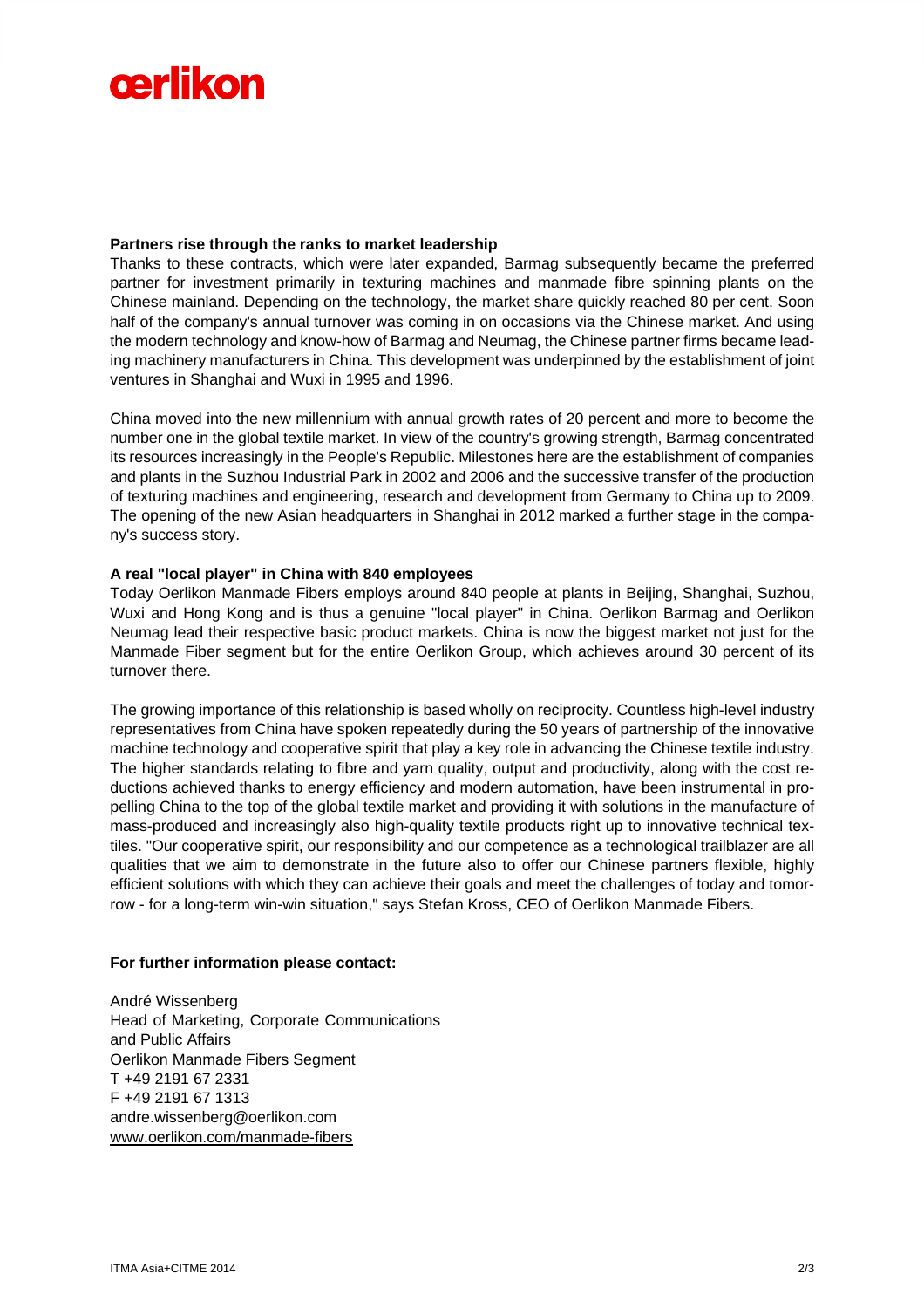

#### **Partners rise through the ranks to market leadership**

Thanks to these contracts, which were later expanded, Barmag subsequently became the preferred partner for investment primarily in texturing machines and manmade fibre spinning plants on the Chinese mainland. Depending on the technology, the market share quickly reached 80 per cent. Soon half of the company's annual turnover was coming in on occasions via the Chinese market. And using the modern technology and know-how of Barmag and Neumag, the Chinese partner firms became leading machinery manufacturers in China. This development was underpinned by the establishment of joint ventures in Shanghai and Wuxi in 1995 and 1996.

China moved into the new millennium with annual growth rates of 20 percent and more to become the number one in the global textile market. In view of the country's growing strength, Barmag concentrated its resources increasingly in the People's Republic. Milestones here are the establishment of companies and plants in the Suzhou Industrial Park in 2002 and 2006 and the successive transfer of the production of texturing machines and engineering, research and development from Germany to China up to 2009. The opening of the new Asian headquarters in Shanghai in 2012 marked a further stage in the company's success story.

#### **A real "local player" in China with 840 employees**

Today Oerlikon Manmade Fibers employs around 840 people at plants in Beijing, Shanghai, Suzhou, Wuxi and Hong Kong and is thus a genuine "local player" in China. Oerlikon Barmag and Oerlikon Neumag lead their respective basic product markets. China is now the biggest market not just for the Manmade Fiber segment but for the entire Oerlikon Group, which achieves around 30 percent of its turnover there.

The growing importance of this relationship is based wholly on reciprocity. Countless high-level industry representatives from China have spoken repeatedly during the 50 years of partnership of the innovative machine technology and cooperative spirit that play a key role in advancing the Chinese textile industry. The higher standards relating to fibre and yarn quality, output and productivity, along with the cost reductions achieved thanks to energy efficiency and modern automation, have been instrumental in propelling China to the top of the global textile market and providing it with solutions in the manufacture of mass-produced and increasingly also high-quality textile products right up to innovative technical textiles. "Our cooperative spirit, our responsibility and our competence as a technological trailblazer are all qualities that we aim to demonstrate in the future also to offer our Chinese partners flexible, highly efficient solutions with which they can achieve their goals and meet the challenges of today and tomorrow - for a long-term win-win situation," says Stefan Kross, CEO of Oerlikon Manmade Fibers.

## **For further information please contact:**

André Wissenberg Head of Marketing, Corporate Communications and Public Affairs Oerlikon Manmade Fibers Segment T +49 2191 67 2331 F +49 2191 67 1313 andre.wissenberg@oerlikon.com www.oerlikon.com/manmade-fibers